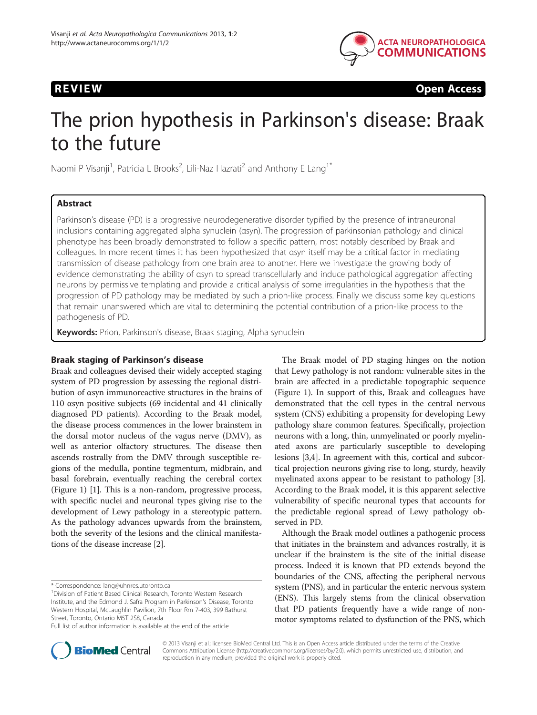

**REVIEW Open Access** 

# The prion hypothesis in Parkinson's disease: Braak to the future

Naomi P Visanji<sup>1</sup>, Patricia L Brooks<sup>2</sup>, Lili-Naz Hazrati<sup>2</sup> and Anthony E Lang<sup>1\*</sup>

# Abstract

Parkinson's disease (PD) is a progressive neurodegenerative disorder typified by the presence of intraneuronal inclusions containing aggregated alpha synuclein (αsyn). The progression of parkinsonian pathology and clinical phenotype has been broadly demonstrated to follow a specific pattern, most notably described by Braak and colleagues. In more recent times it has been hypothesized that αsyn itself may be a critical factor in mediating transmission of disease pathology from one brain area to another. Here we investigate the growing body of evidence demonstrating the ability of αsyn to spread transcellularly and induce pathological aggregation affecting neurons by permissive templating and provide a critical analysis of some irregularities in the hypothesis that the progression of PD pathology may be mediated by such a prion-like process. Finally we discuss some key questions that remain unanswered which are vital to determining the potential contribution of a prion-like process to the pathogenesis of PD.

Keywords: Prion, Parkinson's disease, Braak staging, Alpha synuclein

# Braak staging of Parkinson's disease

Braak and colleagues devised their widely accepted staging system of PD progression by assessing the regional distribution of αsyn immunoreactive structures in the brains of 110 αsyn positive subjects (69 incidental and 41 clinically diagnosed PD patients). According to the Braak model, the disease process commences in the lower brainstem in the dorsal motor nucleus of the vagus nerve (DMV), as well as anterior olfactory structures. The disease then ascends rostrally from the DMV through susceptible regions of the medulla, pontine tegmentum, midbrain, and basal forebrain, eventually reaching the cerebral cortex (Figure [1](#page-1-0)) [[1](#page-9-0)]. This is a non-random, progressive process, with specific nuclei and neuronal types giving rise to the development of Lewy pathology in a stereotypic pattern. As the pathology advances upwards from the brainstem, both the severity of the lesions and the clinical manifestations of the disease increase [\[2](#page-9-0)].

\* Correspondence: [lang@uhnres.utoronto.ca](mailto:lang@uhnres.utoronto.ca) <sup>1</sup>

The Braak model of PD staging hinges on the notion that Lewy pathology is not random: vulnerable sites in the brain are affected in a predictable topographic sequence (Figure [1\)](#page-1-0). In support of this, Braak and colleagues have demonstrated that the cell types in the central nervous system (CNS) exhibiting a propensity for developing Lewy pathology share common features. Specifically, projection neurons with a long, thin, unmyelinated or poorly myelinated axons are particularly susceptible to developing lesions [\[3,4\]](#page-9-0). In agreement with this, cortical and subcortical projection neurons giving rise to long, sturdy, heavily myelinated axons appear to be resistant to pathology [[3](#page-9-0)]. According to the Braak model, it is this apparent selective vulnerability of specific neuronal types that accounts for the predictable regional spread of Lewy pathology observed in PD.

Although the Braak model outlines a pathogenic process that initiates in the brainstem and advances rostrally, it is unclear if the brainstem is the site of the initial disease process. Indeed it is known that PD extends beyond the boundaries of the CNS, affecting the peripheral nervous system (PNS), and in particular the enteric nervous system (ENS). This largely stems from the clinical observation that PD patients frequently have a wide range of nonmotor symptoms related to dysfunction of the PNS, which



© 2013 Visanji et al.; licensee BioMed Central Ltd. This is an Open Access article distributed under the terms of the Creative Commons Attribution License [\(http://creativecommons.org/licenses/by/2.0\)](http://creativecommons.org/licenses/by/2.0), which permits unrestricted use, distribution, and reproduction in any medium, provided the original work is properly cited.

<sup>&</sup>lt;sup>1</sup> Division of Patient Based Clinical Research, Toronto Western Research Institute, and the Edmond J. Safra Program in Parkinson's Disease, Toronto Western Hospital, McLaughlin Pavilion, 7th Floor Rm 7-403, 399 Bathurst Street, Toronto, Ontario M5T 2S8, Canada

Full list of author information is available at the end of the article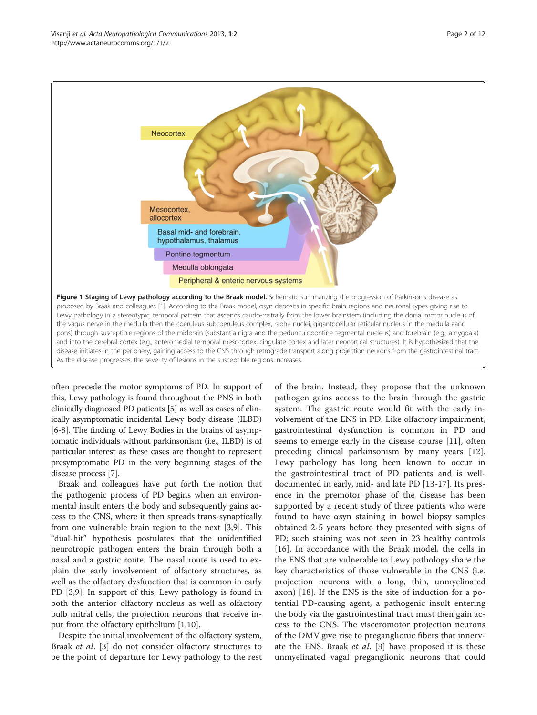<span id="page-1-0"></span>

often precede the motor symptoms of PD. In support of this, Lewy pathology is found throughout the PNS in both clinically diagnosed PD patients [[5\]](#page-9-0) as well as cases of clinically asymptomatic incidental Lewy body disease (ILBD) [[6-8\]](#page-9-0). The finding of Lewy Bodies in the brains of asymptomatic individuals without parkinsonism (i.e., ILBD) is of particular interest as these cases are thought to represent presymptomatic PD in the very beginning stages of the disease process [[7](#page-9-0)].

Braak and colleagues have put forth the notion that the pathogenic process of PD begins when an environmental insult enters the body and subsequently gains access to the CNS, where it then spreads trans-synaptically from one vulnerable brain region to the next [[3](#page-9-0),[9\]](#page-9-0). This "dual-hit" hypothesis postulates that the unidentified neurotropic pathogen enters the brain through both a nasal and a gastric route. The nasal route is used to explain the early involvement of olfactory structures, as well as the olfactory dysfunction that is common in early PD [\[3,9](#page-9-0)]. In support of this, Lewy pathology is found in both the anterior olfactory nucleus as well as olfactory bulb mitral cells, the projection neurons that receive input from the olfactory epithelium [\[1,10](#page-9-0)].

Despite the initial involvement of the olfactory system, Braak *et al.* [[3](#page-9-0)] do not consider olfactory structures to be the point of departure for Lewy pathology to the rest

of the brain. Instead, they propose that the unknown pathogen gains access to the brain through the gastric system. The gastric route would fit with the early involvement of the ENS in PD. Like olfactory impairment, gastrointestinal dysfunction is common in PD and seems to emerge early in the disease course [\[11](#page-9-0)], often preceding clinical parkinsonism by many years [\[12](#page-9-0)]. Lewy pathology has long been known to occur in the gastrointestinal tract of PD patients and is welldocumented in early, mid- and late PD [\[13](#page-9-0)-[17\]](#page-9-0). Its presence in the premotor phase of the disease has been supported by a recent study of three patients who were found to have αsyn staining in bowel biopsy samples obtained 2-5 years before they presented with signs of PD; such staining was not seen in 23 healthy controls [[16\]](#page-9-0). In accordance with the Braak model, the cells in the ENS that are vulnerable to Lewy pathology share the key characteristics of those vulnerable in the CNS (i.e. projection neurons with a long, thin, unmyelinated axon) [[18\]](#page-9-0). If the ENS is the site of induction for a potential PD-causing agent, a pathogenic insult entering the body via the gastrointestinal tract must then gain access to the CNS. The visceromotor projection neurons of the DMV give rise to preganglionic fibers that innervate the ENS. Braak *et al*. [\[3](#page-9-0)] have proposed it is these unmyelinated vagal preganglionic neurons that could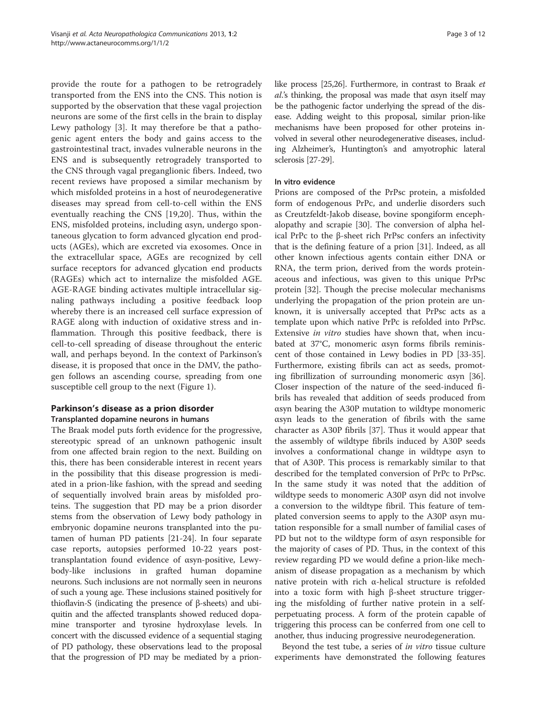provide the route for a pathogen to be retrogradely transported from the ENS into the CNS. This notion is supported by the observation that these vagal projection neurons are some of the first cells in the brain to display Lewy pathology [[3\]](#page-9-0). It may therefore be that a pathogenic agent enters the body and gains access to the gastrointestinal tract, invades vulnerable neurons in the ENS and is subsequently retrogradely transported to the CNS through vagal preganglionic fibers. Indeed, two recent reviews have proposed a similar mechanism by which misfolded proteins in a host of neurodegenerative diseases may spread from cell-to-cell within the ENS eventually reaching the CNS [\[19,20](#page-9-0)]. Thus, within the ENS, misfolded proteins, including αsyn, undergo spontaneous glycation to form advanced glycation end products (AGEs), which are excreted via exosomes. Once in the extracellular space, AGEs are recognized by cell surface receptors for advanced glycation end products (RAGEs) which act to internalize the misfolded AGE. AGE-RAGE binding activates multiple intracellular signaling pathways including a positive feedback loop whereby there is an increased cell surface expression of RAGE along with induction of oxidative stress and inflammation. Through this positive feedback, there is cell-to-cell spreading of disease throughout the enteric wall, and perhaps beyond. In the context of Parkinson's disease, it is proposed that once in the DMV, the pathogen follows an ascending course, spreading from one susceptible cell group to the next (Figure [1](#page-1-0)).

# Parkinson's disease as a prion disorder

# Transplanted dopamine neurons in humans

The Braak model puts forth evidence for the progressive, stereotypic spread of an unknown pathogenic insult from one affected brain region to the next. Building on this, there has been considerable interest in recent years in the possibility that this disease progression is mediated in a prion-like fashion, with the spread and seeding of sequentially involved brain areas by misfolded proteins. The suggestion that PD may be a prion disorder stems from the observation of Lewy body pathology in embryonic dopamine neurons transplanted into the putamen of human PD patients [\[21](#page-9-0)-[24\]](#page-9-0). In four separate case reports, autopsies performed 10-22 years posttransplantation found evidence of αsyn-positive, Lewybody-like inclusions in grafted human dopamine neurons. Such inclusions are not normally seen in neurons of such a young age. These inclusions stained positively for thioflavin-S (indicating the presence of β-sheets) and ubiquitin and the affected transplants showed reduced dopamine transporter and tyrosine hydroxylase levels. In concert with the discussed evidence of a sequential staging of PD pathology, these observations lead to the proposal that the progression of PD may be mediated by a prionlike process [\[25,26\]](#page-9-0). Furthermore, in contrast to Braak et al.'s thinking, the proposal was made that αsyn itself may be the pathogenic factor underlying the spread of the disease. Adding weight to this proposal, similar prion-like mechanisms have been proposed for other proteins involved in several other neurodegenerative diseases, including Alzheimer's, Huntington's and amyotrophic lateral sclerosis [\[27-29\]](#page-9-0).

# In vitro evidence

Prions are composed of the PrPsc protein, a misfolded form of endogenous PrPc, and underlie disorders such as Creutzfeldt-Jakob disease, bovine spongiform encephalopathy and scrapie [[30](#page-9-0)]. The conversion of alpha helical PrPc to the β-sheet rich PrPsc confers an infectivity that is the defining feature of a prion [[31](#page-9-0)]. Indeed, as all other known infectious agents contain either DNA or RNA, the term prion, derived from the words proteinaceous and infectious, was given to this unique PrPsc protein [[32\]](#page-9-0). Though the precise molecular mechanisms underlying the propagation of the prion protein are unknown, it is universally accepted that PrPsc acts as a template upon which native PrPc is refolded into PrPsc. Extensive in vitro studies have shown that, when incubated at 37°C, monomeric αsyn forms fibrils reminiscent of those contained in Lewy bodies in PD [\[33](#page-9-0)[-35](#page-10-0)]. Furthermore, existing fibrils can act as seeds, promoting fibrillization of surrounding monomeric αsyn [\[36](#page-10-0)]. Closer inspection of the nature of the seed-induced fibrils has revealed that addition of seeds produced from αsyn bearing the A30P mutation to wildtype monomeric αsyn leads to the generation of fibrils with the same character as A30P fibrils [\[37](#page-10-0)]. Thus it would appear that the assembly of wildtype fibrils induced by A30P seeds involves a conformational change in wildtype αsyn to that of A30P. This process is remarkably similar to that described for the templated conversion of PrPc to PrPsc. In the same study it was noted that the addition of wildtype seeds to monomeric A30P αsyn did not involve a conversion to the wildtype fibril. This feature of templated conversion seems to apply to the A30P αsyn mutation responsible for a small number of familial cases of PD but not to the wildtype form of αsyn responsible for the majority of cases of PD. Thus, in the context of this review regarding PD we would define a prion-like mechanism of disease propagation as a mechanism by which native protein with rich α-helical structure is refolded into a toxic form with high β-sheet structure triggering the misfolding of further native protein in a selfperpetuating process. A form of the protein capable of triggering this process can be conferred from one cell to another, thus inducing progressive neurodegeneration.

Beyond the test tube, a series of in vitro tissue culture experiments have demonstrated the following features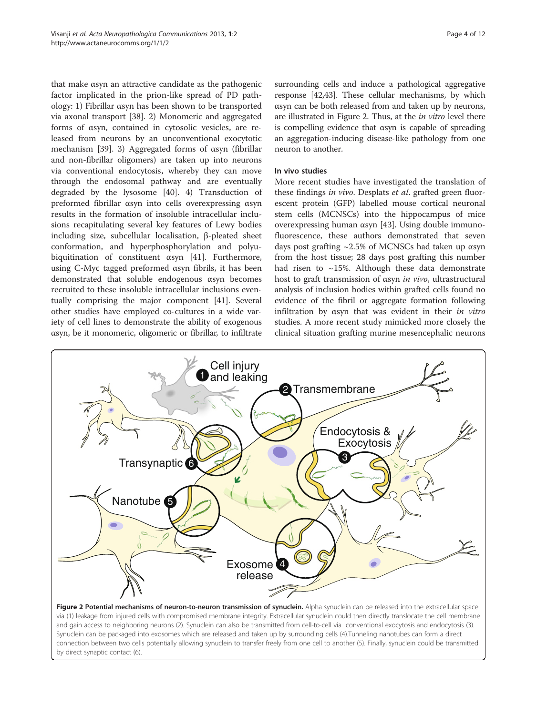that make αsyn an attractive candidate as the pathogenic factor implicated in the prion-like spread of PD pathology: 1) Fibrillar αsyn has been shown to be transported via axonal transport [\[38](#page-10-0)]. 2) Monomeric and aggregated forms of αsyn, contained in cytosolic vesicles, are released from neurons by an unconventional exocytotic mechanism [[39\]](#page-10-0). 3) Aggregated forms of αsyn (fibrillar and non-fibrillar oligomers) are taken up into neurons via conventional endocytosis, whereby they can move through the endosomal pathway and are eventually degraded by the lysosome [[40\]](#page-10-0). 4) Transduction of preformed fibrillar αsyn into cells overexpressing αsyn results in the formation of insoluble intracellular inclusions recapitulating several key features of Lewy bodies including size, subcellular localisation, β-pleated sheet conformation, and hyperphosphorylation and polyubiquitination of constituent αsyn [\[41\]](#page-10-0). Furthermore, using C-Myc tagged preformed αsyn fibrils, it has been demonstrated that soluble endogenous αsyn becomes recruited to these insoluble intracellular inclusions eventually comprising the major component [\[41](#page-10-0)]. Several other studies have employed co-cultures in a wide variety of cell lines to demonstrate the ability of exogenous αsyn, be it monomeric, oligomeric or fibrillar, to infiltrate

surrounding cells and induce a pathological aggregative response [\[42,43](#page-10-0)]. These cellular mechanisms, by which αsyn can be both released from and taken up by neurons, are illustrated in Figure 2. Thus, at the in vitro level there is compelling evidence that αsyn is capable of spreading an aggregation-inducing disease-like pathology from one neuron to another.

## In vivo studies

More recent studies have investigated the translation of these findings in vivo. Desplats et al. grafted green fluorescent protein (GFP) labelled mouse cortical neuronal stem cells (MCNSCs) into the hippocampus of mice overexpressing human αsyn [[43\]](#page-10-0). Using double immunofluorescence, these authors demonstrated that seven days post grafting ~2.5% of MCNSCs had taken up αsyn from the host tissue; 28 days post grafting this number had risen to  $\sim$ 15%. Although these data demonstrate host to graft transmission of αsyn in vivo, ultrastructural analysis of inclusion bodies within grafted cells found no evidence of the fibril or aggregate formation following infiltration by αsyn that was evident in their in vitro studies. A more recent study mimicked more closely the clinical situation grafting murine mesencephalic neurons



via (1) leakage from injured cells with compromised membrane integrity. Extracellular synuclein could then directly translocate the cell membrane and gain access to neighboring neurons (2). Synuclein can also be transmitted from cell-to-cell via conventional exocytosis and endocytosis (3). Synuclein can be packaged into exosomes which are released and taken up by surrounding cells (4).Tunneling nanotubes can form a direct connection between two cells potentially allowing synuclein to transfer freely from one cell to another (5). Finally, synuclein could be transmitted by direct synaptic contact (6).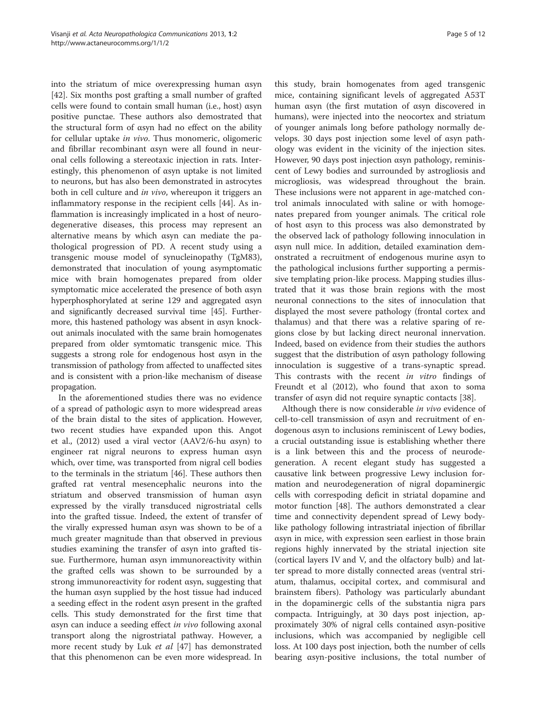into the striatum of mice overexpressing human αsyn [[42\]](#page-10-0). Six months post grafting a small number of grafted cells were found to contain small human (i.e., host) αsyn positive punctae. These authors also demostrated that the structural form of αsyn had no effect on the ability for cellular uptake in vivo. Thus monomeric, oligomeric and fibrillar recombinant αsyn were all found in neuronal cells following a stereotaxic injection in rats. Interestingly, this phenomenon of αsyn uptake is not limited to neurons, but has also been demonstrated in astrocytes both in cell culture and *in vivo*, whereupon it triggers an inflammatory response in the recipient cells [[44\]](#page-10-0). As inflammation is increasingly implicated in a host of neurodegenerative diseases, this process may represent an alternative means by which αsyn can mediate the pathological progression of PD. A recent study using a transgenic mouse model of synucleinopathy (TgM83), demonstrated that inoculation of young asymptomatic mice with brain homogenates prepared from older symptomatic mice accelerated the presence of both αsyn hyperphosphorylated at serine 129 and aggregated αsyn and significantly decreased survival time [\[45\]](#page-10-0). Furthermore, this hastened pathology was absent in αsyn knockout animals inoculated with the same brain homogenates prepared from older symtomatic transgenic mice. This suggests a strong role for endogenous host αsyn in the transmission of pathology from affected to unaffected sites and is consistent with a prion-like mechanism of disease propagation.

In the aforementioned studies there was no evidence of a spread of pathologic αsyn to more widespread areas of the brain distal to the sites of application. However, two recent studies have expanded upon this. Angot et al., (2012) used a viral vector (AAV2/6-hu αsyn) to engineer rat nigral neurons to express human αsyn which, over time, was transported from nigral cell bodies to the terminals in the striatum [[46\]](#page-10-0). These authors then grafted rat ventral mesencephalic neurons into the striatum and observed transmission of human αsyn expressed by the virally transduced nigrostriatal cells into the grafted tissue. Indeed, the extent of transfer of the virally expressed human αsyn was shown to be of a much greater magnitude than that observed in previous studies examining the transfer of αsyn into grafted tissue. Furthermore, human αsyn immunoreactivity within the grafted cells was shown to be surrounded by a strong immunoreactivity for rodent αsyn, suggesting that the human αsyn supplied by the host tissue had induced a seeding effect in the rodent αsyn present in the grafted cells. This study demonstrated for the first time that αsyn can induce a seeding effect in vivo following axonal transport along the nigrostriatal pathway. However, a more recent study by Luk et al [\[47](#page-10-0)] has demonstrated that this phenomenon can be even more widespread. In

this study, brain homogenates from aged transgenic mice, containing significant levels of aggregated A53T human αsyn (the first mutation of αsyn discovered in humans), were injected into the neocortex and striatum of younger animals long before pathology normally develops. 30 days post injection some level of αsyn pathology was evident in the vicinity of the injection sites. However, 90 days post injection αsyn pathology, reminiscent of Lewy bodies and surrounded by astrogliosis and microgliosis, was widespread throughout the brain. These inclusions were not apparent in age-matched control animals innoculated with saline or with homogenates prepared from younger animals. The critical role of host αsyn to this process was also demonstrated by the observed lack of pathology following innoculation in αsyn null mice. In addition, detailed examination demonstrated a recruitment of endogenous murine αsyn to the pathological inclusions further supporting a permissive templating prion-like process. Mapping studies illustrated that it was those brain regions with the most neuronal connections to the sites of innoculation that displayed the most severe pathology (frontal cortex and thalamus) and that there was a relative sparing of regions close by but lacking direct neuronal innervation. Indeed, based on evidence from their studies the authors suggest that the distribution of αsyn pathology following innoculation is suggestive of a trans-synaptic spread. This contrasts with the recent in vitro findings of Freundt et al (2012), who found that axon to soma transfer of αsyn did not require synaptic contacts [[38\]](#page-10-0).

Although there is now considerable in vivo evidence of cell-to-cell transmission of αsyn and recruitment of endogenous αsyn to inclusions reminiscent of Lewy bodies, a crucial outstanding issue is establishing whether there is a link between this and the process of neurodegeneration. A recent elegant study has suggested a causative link between progressive Lewy inclusion formation and neurodegeneration of nigral dopaminergic cells with correspoding deficit in striatal dopamine and motor function [[48\]](#page-10-0). The authors demonstrated a clear time and connectivity dependent spread of Lewy bodylike pathology following intrastriatal injection of fibrillar αsyn in mice, with expression seen earliest in those brain regions highly innervated by the striatal injection site (cortical layers IV and V, and the olfactory bulb) and latter spread to more distally connected areas (ventral striatum, thalamus, occipital cortex, and commisural and brainstem fibers). Pathology was particularly abundant in the dopaminergic cells of the substantia nigra pars compacta. Intriguingly, at 30 days post injection, approximately 30% of nigral cells contained αsyn-positive inclusions, which was accompanied by negligible cell loss. At 100 days post injection, both the number of cells bearing αsyn-positive inclusions, the total number of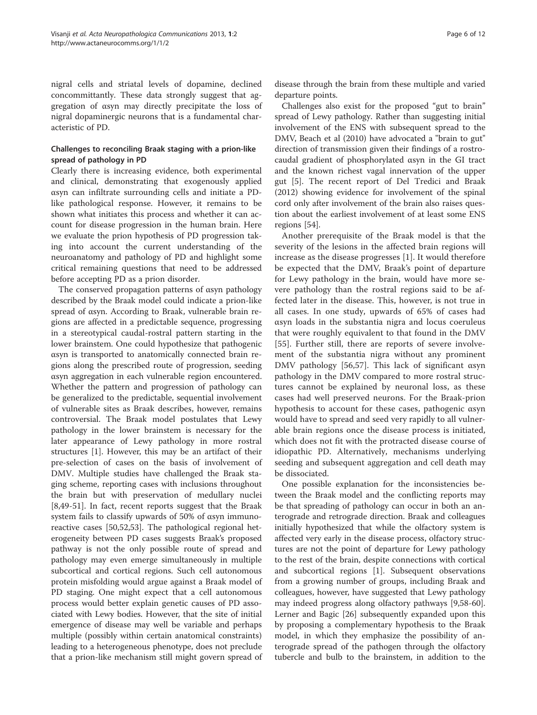nigral cells and striatal levels of dopamine, declined concommittantly. These data strongly suggest that aggregation of αsyn may directly precipitate the loss of nigral dopaminergic neurons that is a fundamental characteristic of PD.

# Challenges to reconciling Braak staging with a prion-like spread of pathology in PD

Clearly there is increasing evidence, both experimental and clinical, demonstrating that exogenously applied αsyn can infiltrate surrounding cells and initiate a PDlike pathological response. However, it remains to be shown what initiates this process and whether it can account for disease progression in the human brain. Here we evaluate the prion hypothesis of PD progression taking into account the current understanding of the neuroanatomy and pathology of PD and highlight some critical remaining questions that need to be addressed before accepting PD as a prion disorder.

The conserved propagation patterns of αsyn pathology described by the Braak model could indicate a prion-like spread of αsyn. According to Braak, vulnerable brain regions are affected in a predictable sequence, progressing in a stereotypical caudal-rostral pattern starting in the lower brainstem. One could hypothesize that pathogenic αsyn is transported to anatomically connected brain regions along the prescribed route of progression, seeding αsyn aggregation in each vulnerable region encountered. Whether the pattern and progression of pathology can be generalized to the predictable, sequential involvement of vulnerable sites as Braak describes, however, remains controversial. The Braak model postulates that Lewy pathology in the lower brainstem is necessary for the later appearance of Lewy pathology in more rostral structures [\[1](#page-9-0)]. However, this may be an artifact of their pre-selection of cases on the basis of involvement of DMV. Multiple studies have challenged the Braak staging scheme, reporting cases with inclusions throughout the brain but with preservation of medullary nuclei [[8,](#page-9-0)[49-51](#page-10-0)]. In fact, recent reports suggest that the Braak system fails to classify upwards of 50% of αsyn immunoreactive cases [\[50,52,53](#page-10-0)]. The pathological regional heterogeneity between PD cases suggests Braak's proposed pathway is not the only possible route of spread and pathology may even emerge simultaneously in multiple subcortical and cortical regions. Such cell autonomous protein misfolding would argue against a Braak model of PD staging. One might expect that a cell autonomous process would better explain genetic causes of PD associated with Lewy bodies. However, that the site of initial emergence of disease may well be variable and perhaps multiple (possibly within certain anatomical constraints) leading to a heterogeneous phenotype, does not preclude that a prion-like mechanism still might govern spread of

disease through the brain from these multiple and varied departure points.

Challenges also exist for the proposed "gut to brain" spread of Lewy pathology. Rather than suggesting initial involvement of the ENS with subsequent spread to the DMV, Beach et al (2010) have advocated a "brain to gut" direction of transmission given their findings of a rostrocaudal gradient of phosphorylated αsyn in the GI tract and the known richest vagal innervation of the upper gut [[5\]](#page-9-0). The recent report of Del Tredici and Braak (2012) showing evidence for involvement of the spinal cord only after involvement of the brain also raises question about the earliest involvement of at least some ENS regions [\[54](#page-10-0)].

Another prerequisite of the Braak model is that the severity of the lesions in the affected brain regions will increase as the disease progresses [[1\]](#page-9-0). It would therefore be expected that the DMV, Braak's point of departure for Lewy pathology in the brain, would have more severe pathology than the rostral regions said to be affected later in the disease. This, however, is not true in all cases. In one study, upwards of 65% of cases had αsyn loads in the substantia nigra and locus coeruleus that were roughly equivalent to that found in the DMV [[55](#page-10-0)]. Further still, there are reports of severe involvement of the substantia nigra without any prominent DMV pathology [[56,57\]](#page-10-0). This lack of significant αsyn pathology in the DMV compared to more rostral structures cannot be explained by neuronal loss, as these cases had well preserved neurons. For the Braak-prion hypothesis to account for these cases, pathogenic αsyn would have to spread and seed very rapidly to all vulnerable brain regions once the disease process is initiated, which does not fit with the protracted disease course of idiopathic PD. Alternatively, mechanisms underlying seeding and subsequent aggregation and cell death may be dissociated.

One possible explanation for the inconsistencies between the Braak model and the conflicting reports may be that spreading of pathology can occur in both an anterograde and retrograde direction. Braak and colleagues initially hypothesized that while the olfactory system is affected very early in the disease process, olfactory structures are not the point of departure for Lewy pathology to the rest of the brain, despite connections with cortical and subcortical regions [[1\]](#page-9-0). Subsequent observations from a growing number of groups, including Braak and colleagues, however, have suggested that Lewy pathology may indeed progress along olfactory pathways [[9,](#page-9-0)[58-60](#page-10-0)]. Lerner and Bagic [\[26\]](#page-9-0) subsequently expanded upon this by proposing a complementary hypothesis to the Braak model, in which they emphasize the possibility of anterograde spread of the pathogen through the olfactory tubercle and bulb to the brainstem, in addition to the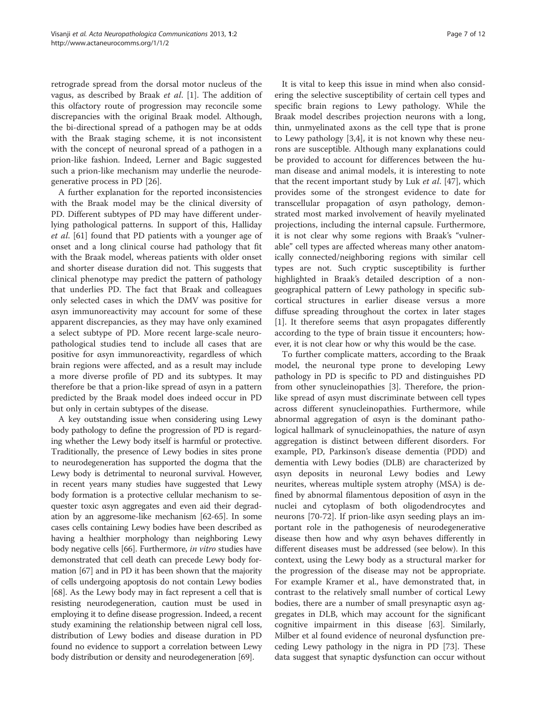retrograde spread from the dorsal motor nucleus of the vagus, as described by Braak et al. [\[1](#page-9-0)]. The addition of this olfactory route of progression may reconcile some discrepancies with the original Braak model. Although, the bi-directional spread of a pathogen may be at odds with the Braak staging scheme, it is not inconsistent with the concept of neuronal spread of a pathogen in a prion-like fashion. Indeed, Lerner and Bagic suggested such a prion-like mechanism may underlie the neurodegenerative process in PD [\[26](#page-9-0)].

A further explanation for the reported inconsistencies with the Braak model may be the clinical diversity of PD. Different subtypes of PD may have different underlying pathological patterns. In support of this, Halliday et al. [\[61](#page-10-0)] found that PD patients with a younger age of onset and a long clinical course had pathology that fit with the Braak model, whereas patients with older onset and shorter disease duration did not. This suggests that clinical phenotype may predict the pattern of pathology that underlies PD. The fact that Braak and colleagues only selected cases in which the DMV was positive for αsyn immunoreactivity may account for some of these apparent discrepancies, as they may have only examined a select subtype of PD. More recent large-scale neuropathological studies tend to include all cases that are positive for αsyn immunoreactivity, regardless of which brain regions were affected, and as a result may include a more diverse profile of PD and its subtypes. It may therefore be that a prion-like spread of αsyn in a pattern predicted by the Braak model does indeed occur in PD but only in certain subtypes of the disease.

A key outstanding issue when considering using Lewy body pathology to define the progression of PD is regarding whether the Lewy body itself is harmful or protective. Traditionally, the presence of Lewy bodies in sites prone to neurodegeneration has supported the dogma that the Lewy body is detrimental to neuronal survival. However, in recent years many studies have suggested that Lewy body formation is a protective cellular mechanism to sequester toxic αsyn aggregates and even aid their degradation by an aggresome-like mechanism [[62-65\]](#page-10-0). In some cases cells containing Lewy bodies have been described as having a healthier morphology than neighboring Lewy body negative cells [\[66](#page-10-0)]. Furthermore, *in vitro* studies have demonstrated that cell death can precede Lewy body formation [[67](#page-10-0)] and in PD it has been shown that the majority of cells undergoing apoptosis do not contain Lewy bodies [[68](#page-10-0)]. As the Lewy body may in fact represent a cell that is resisting neurodegeneration, caution must be used in employing it to define disease progression. Indeed, a recent study examining the relationship between nigral cell loss, distribution of Lewy bodies and disease duration in PD found no evidence to support a correlation between Lewy body distribution or density and neurodegeneration [\[69\]](#page-10-0).

It is vital to keep this issue in mind when also considering the selective susceptibility of certain cell types and specific brain regions to Lewy pathology. While the Braak model describes projection neurons with a long, thin, unmyelinated axons as the cell type that is prone to Lewy pathology [[3](#page-9-0),[4\]](#page-9-0), it is not known why these neurons are susceptible. Although many explanations could be provided to account for differences between the human disease and animal models, it is interesting to note that the recent important study by Luk et al. [[47\]](#page-10-0), which provides some of the strongest evidence to date for transcellular propagation of αsyn pathology, demonstrated most marked involvement of heavily myelinated projections, including the internal capsule. Furthermore, it is not clear why some regions with Braak's "vulnerable" cell types are affected whereas many other anatomically connected/neighboring regions with similar cell types are not. Such cryptic susceptibility is further highlighted in Braak's detailed description of a nongeographical pattern of Lewy pathology in specific subcortical structures in earlier disease versus a more diffuse spreading throughout the cortex in later stages [[1\]](#page-9-0). It therefore seems that αsyn propagates differently according to the type of brain tissue it encounters; however, it is not clear how or why this would be the case.

To further complicate matters, according to the Braak model, the neuronal type prone to developing Lewy pathology in PD is specific to PD and distinguishes PD from other synucleinopathies [[3](#page-9-0)]. Therefore, the prionlike spread of αsyn must discriminate between cell types across different synucleinopathies. Furthermore, while abnormal aggregation of αsyn is the dominant pathological hallmark of synucleinopathies, the nature of αsyn aggregation is distinct between different disorders. For example, PD, Parkinson's disease dementia (PDD) and dementia with Lewy bodies (DLB) are characterized by αsyn deposits in neuronal Lewy bodies and Lewy neurites, whereas multiple system atrophy (MSA) is defined by abnormal filamentous deposition of αsyn in the nuclei and cytoplasm of both oligodendrocytes and neurons [[70-72\]](#page-10-0). If prion-like αsyn seeding plays an important role in the pathogenesis of neurodegenerative disease then how and why αsyn behaves differently in different diseases must be addressed (see below). In this context, using the Lewy body as a structural marker for the progression of the disease may not be appropriate. For example Kramer et al., have demonstrated that, in contrast to the relatively small number of cortical Lewy bodies, there are a number of small presynaptic αsyn aggregates in DLB, which may account for the significant cognitive impairment in this disease [\[63](#page-10-0)]. Similarly, Milber et al found evidence of neuronal dysfunction preceding Lewy pathology in the nigra in PD [[73](#page-10-0)]. These data suggest that synaptic dysfunction can occur without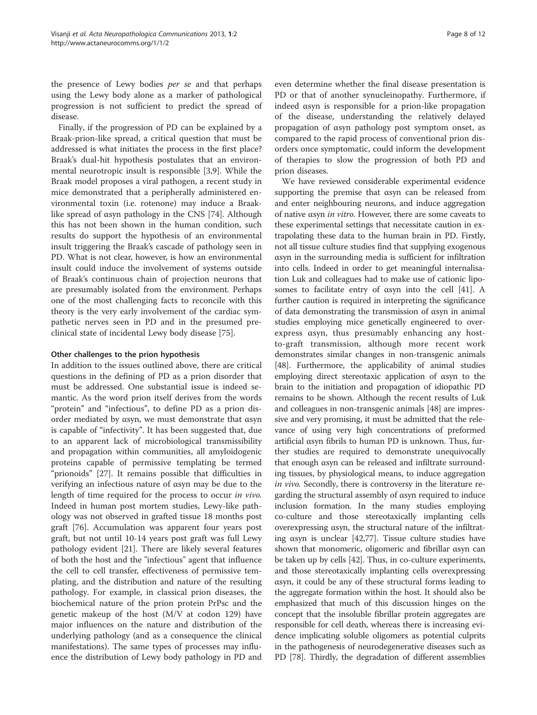the presence of Lewy bodies per se and that perhaps using the Lewy body alone as a marker of pathological progression is not sufficient to predict the spread of disease.

Finally, if the progression of PD can be explained by a Braak-prion-like spread, a critical question that must be addressed is what initiates the process in the first place? Braak's dual-hit hypothesis postulates that an environmental neurotropic insult is responsible [[3,9\]](#page-9-0). While the Braak model proposes a viral pathogen, a recent study in mice demonstrated that a peripherally administered environmental toxin (i.e. rotenone) may induce a Braaklike spread of αsyn pathology in the CNS [[74\]](#page-10-0). Although this has not been shown in the human condition, such results do support the hypothesis of an environmental insult triggering the Braak's cascade of pathology seen in PD. What is not clear, however, is how an environmental insult could induce the involvement of systems outside of Braak's continuous chain of projection neurons that are presumably isolated from the environment. Perhaps one of the most challenging facts to reconcile with this theory is the very early involvement of the cardiac sympathetic nerves seen in PD and in the presumed preclinical state of incidental Lewy body disease [[75\]](#page-10-0).

## Other challenges to the prion hypothesis

In addition to the issues outlined above, there are critical questions in the defining of PD as a prion disorder that must be addressed. One substantial issue is indeed semantic. As the word prion itself derives from the words "protein" and "infectious", to define PD as a prion disorder mediated by αsyn, we must demonstrate that αsyn is capable of "infectivity". It has been suggested that, due to an apparent lack of microbiological transmissibility and propagation within communities, all amyloidogenic proteins capable of permissive templating be termed "prionoids" [\[27](#page-9-0)]. It remains possible that difficulties in verifying an infectious nature of αsyn may be due to the length of time required for the process to occur in vivo. Indeed in human post mortem studies, Lewy-like pathology was not observed in grafted tissue 18 months post graft [\[76](#page-10-0)]. Accumulation was apparent four years post graft, but not until 10-14 years post graft was full Lewy pathology evident [[21](#page-9-0)]. There are likely several features of both the host and the "infectious" agent that influence the cell to cell transfer, effectiveness of permissive templating, and the distribution and nature of the resulting pathology. For example, in classical prion diseases, the biochemical nature of the prion protein PrPsc and the genetic makeup of the host (M/V at codon 129) have major influences on the nature and distribution of the underlying pathology (and as a consequence the clinical manifestations). The same types of processes may influence the distribution of Lewy body pathology in PD and

even determine whether the final disease presentation is PD or that of another synucleinopathy. Furthermore, if indeed αsyn is responsible for a prion-like propagation of the disease, understanding the relatively delayed propagation of αsyn pathology post symptom onset, as compared to the rapid process of conventional prion disorders once symptomatic, could inform the development of therapies to slow the progression of both PD and prion diseases.

We have reviewed considerable experimental evidence supporting the premise that αsyn can be released from and enter neighbouring neurons, and induce aggregation of native αsyn in vitro. However, there are some caveats to these experimental settings that necessitate caution in extrapolating these data to the human brain in PD. Firstly, not all tissue culture studies find that supplying exogenous αsyn in the surrounding media is sufficient for infiltration into cells. Indeed in order to get meaningful internalisation Luk and colleagues had to make use of cationic liposomes to facilitate entry of αsyn into the cell [\[41](#page-10-0)]. A further caution is required in interpreting the significance of data demonstrating the transmission of αsyn in animal studies employing mice genetically engineered to overexpress αsyn, thus presumably enhancing any hostto-graft transmission, although more recent work demonstrates similar changes in non-transgenic animals [[48](#page-10-0)]. Furthermore, the applicability of animal studies employing direct stereotaxic application of αsyn to the brain to the initiation and propagation of idiopathic PD remains to be shown. Although the recent results of Luk and colleagues in non-transgenic animals [[48](#page-10-0)] are impressive and very promising, it must be admitted that the relevance of using very high concentrations of preformed artificial αsyn fibrils to human PD is unknown. Thus, further studies are required to demonstrate unequivocally that enough αsyn can be released and infiltrate surrounding tissues, by physiological means, to induce aggregation in vivo. Secondly, there is controversy in the literature regarding the structural assembly of αsyn required to induce inclusion formation. In the many studies employing co-culture and those stereotaxically implanting cells overexpressing αsyn, the structural nature of the infiltrating αsyn is unclear [\[42,77\]](#page-10-0). Tissue culture studies have shown that monomeric, oligomeric and fibrillar αsyn can be taken up by cells [[42](#page-10-0)]. Thus, in co-culture experiments, and those stereotaxically implanting cells overexpressing αsyn, it could be any of these structural forms leading to the aggregate formation within the host. It should also be emphasized that much of this discussion hinges on the concept that the insoluble fibrillar protein aggregates are responsible for cell death, whereas there is increasing evidence implicating soluble oligomers as potential culprits in the pathogenesis of neurodegenerative diseases such as PD [\[78\]](#page-11-0). Thirdly, the degradation of different assemblies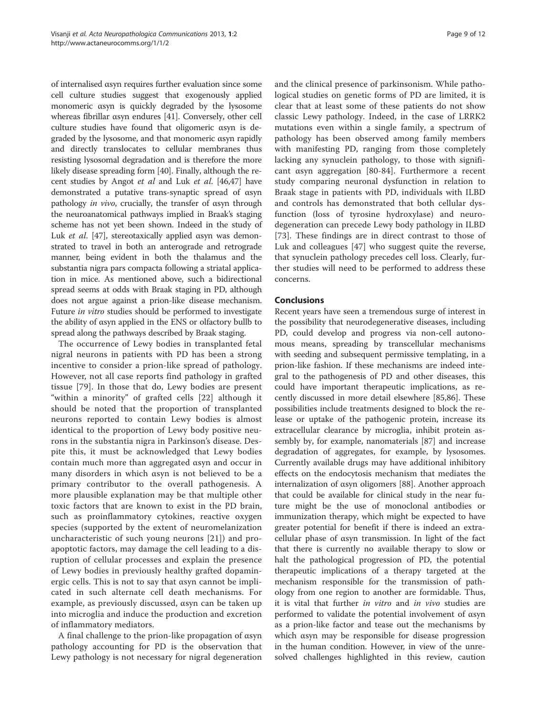of internalised αsyn requires further evaluation since some cell culture studies suggest that exogenously applied monomeric αsyn is quickly degraded by the lysosome whereas fibrillar αsyn endures [[41](#page-10-0)]. Conversely, other cell culture studies have found that oligomeric αsyn is degraded by the lysosome, and that monomeric αsyn rapidly and directly translocates to cellular membranes thus resisting lysosomal degradation and is therefore the more likely disease spreading form [\[40](#page-10-0)]. Finally, although the recent studies by Angot et al and Luk et al. [[46,47](#page-10-0)] have demonstrated a putative trans-synaptic spread of αsyn pathology in vivo, crucially, the transfer of αsyn through the neuroanatomical pathways implied in Braak's staging scheme has not yet been shown. Indeed in the study of Luk et al. [[47](#page-10-0)], stereotaxically applied αsyn was demonstrated to travel in both an anterograde and retrograde manner, being evident in both the thalamus and the substantia nigra pars compacta following a striatal application in mice. As mentioned above, such a bidirectional spread seems at odds with Braak staging in PD, although does not argue against a prion-like disease mechanism. Future in vitro studies should be performed to investigate the ability of αsyn applied in the ENS or olfactory bullb to spread along the pathways described by Braak staging.

The occurrence of Lewy bodies in transplanted fetal nigral neurons in patients with PD has been a strong incentive to consider a prion-like spread of pathology. However, not all case reports find pathology in grafted tissue [[79](#page-11-0)]. In those that do, Lewy bodies are present "within a minority" of grafted cells [\[22\]](#page-9-0) although it should be noted that the proportion of transplanted neurons reported to contain Lewy bodies is almost identical to the proportion of Lewy body positive neurons in the substantia nigra in Parkinson's disease. Despite this, it must be acknowledged that Lewy bodies contain much more than aggregated αsyn and occur in many disorders in which αsyn is not believed to be a primary contributor to the overall pathogenesis. A more plausible explanation may be that multiple other toxic factors that are known to exist in the PD brain, such as proinflammatory cytokines, reactive oxygen species (supported by the extent of neuromelanization uncharacteristic of such young neurons [[21](#page-9-0)]) and proapoptotic factors, may damage the cell leading to a disruption of cellular processes and explain the presence of Lewy bodies in previously healthy grafted dopaminergic cells. This is not to say that αsyn cannot be implicated in such alternate cell death mechanisms. For example, as previously discussed, αsyn can be taken up into microglia and induce the production and excretion of inflammatory mediators.

A final challenge to the prion-like propagation of αsyn pathology accounting for PD is the observation that Lewy pathology is not necessary for nigral degeneration

and the clinical presence of parkinsonism. While pathological studies on genetic forms of PD are limited, it is clear that at least some of these patients do not show classic Lewy pathology. Indeed, in the case of LRRK2 mutations even within a single family, a spectrum of pathology has been observed among family members with manifesting PD, ranging from those completely lacking any synuclein pathology, to those with significant αsyn aggregation [[80-84](#page-11-0)]. Furthermore a recent study comparing neuronal dysfunction in relation to Braak stage in patients with PD, individuals with ILBD and controls has demonstrated that both cellular dysfunction (loss of tyrosine hydroxylase) and neurodegeneration can precede Lewy body pathology in ILBD [[73](#page-10-0)]. These findings are in direct contrast to those of Luk and colleagues [[47\]](#page-10-0) who suggest quite the reverse, that synuclein pathology precedes cell loss. Clearly, further studies will need to be performed to address these concerns.

# **Conclusions**

Recent years have seen a tremendous surge of interest in the possibility that neurodegenerative diseases, including PD, could develop and progress via non-cell autonomous means, spreading by transcellular mechanisms with seeding and subsequent permissive templating, in a prion-like fashion. If these mechanisms are indeed integral to the pathogenesis of PD and other diseases, this could have important therapeutic implications, as recently discussed in more detail elsewhere [[85](#page-11-0),[86](#page-11-0)]. These possibilities include treatments designed to block the release or uptake of the pathogenic protein, increase its extracellular clearance by microglia, inhibit protein assembly by, for example, nanomaterials [\[87](#page-11-0)] and increase degradation of aggregates, for example, by lysosomes. Currently available drugs may have additional inhibitory effects on the endocytosis mechanism that mediates the internalization of αsyn oligomers [[88\]](#page-11-0). Another approach that could be available for clinical study in the near future might be the use of monoclonal antibodies or immunization therapy, which might be expected to have greater potential for benefit if there is indeed an extracellular phase of αsyn transmission. In light of the fact that there is currently no available therapy to slow or halt the pathological progression of PD, the potential therapeutic implications of a therapy targeted at the mechanism responsible for the transmission of pathology from one region to another are formidable. Thus, it is vital that further in vitro and in vivo studies are performed to validate the potential involvement of αsyn as a prion-like factor and tease out the mechanisms by which αsyn may be responsible for disease progression in the human condition. However, in view of the unresolved challenges highlighted in this review, caution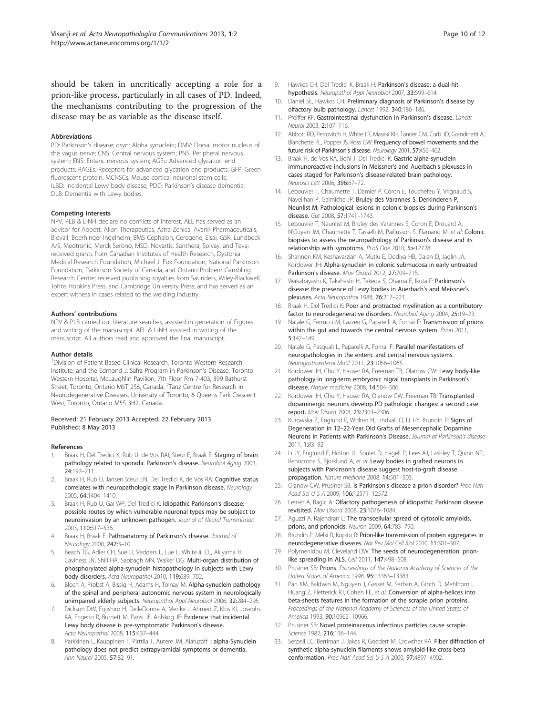<span id="page-9-0"></span>should be taken in uncritically accepting a role for a prion-like process, particularly in all cases of PD. Indeed, the mechanisms contributing to the progression of the disease may be as variable as the disease itself.

#### Abbreviations

PD: Parkinson's disease; αsyn: Alpha synuclein; DMV: Dorsal motor nucleus of the vagus nerve; CNS: Central nervous system; PNS: Peripheral nervous system; ENS: Enteric nervous system; AGEs: Advanced glycation end products; RAGEs: Receptors for advanced glycation end products; GFP: Green fluorescent protein; MCNSCs: Mouse cortical neuronal stem cells; ILBD: Incidental Lewy body disease; PDD: Parkinson's disease dementia; DLB: Dementia with Lewy bodies.

#### Competing interests

NPV, PLB & L-NH declare no conflicts of interest. AEL has served as an advisor for Abbott, Allon Therapeutics, Astra Zenica, Avanir Pharmaceuticals, Biovail, Boerhinger-Ingelheim, BMS Cephalon, Ceregene, Eisai, GSK, Lundbeck A/S, Medtronic, Merck Serono, MSD, Novartis, Santhera, Solvay, and Teva; received grants from Canadian Institutes of Health Research, Dystonia Medical Research Foundation, Michael J. Fox Foundation, National Parkinson Foundation, Parkinson Society of Canada, and Ontario Problem Gambling Research Centre; received publishing royalties from Saunders, Wiley-Blackwell, Johns Hopkins Press, and Cambridge University Press; and has served as an expert witness in cases related to the welding industry.

#### Authors' contributions

NPV & PLB carried out literature searches, assisted in generation of Figures and writing of the manuscript. AEL & L-NH assisted in writing of the manuscript. All authors read and approved the final manuscript.

#### Author details

<sup>1</sup> Division of Patient Based Clinical Research, Toronto Western Research Institute, and the Edmond J. Safra Program in Parkinson's Disease, Toronto Western Hospital, McLaughlin Pavilion, 7th Floor Rm 7-403, 399 Bathurst Street, Toronto, Ontario M5T 2S8, Canada. <sup>2</sup>Tanz Centre for Research in Neurodegenerative Diseases, University of Toronto, 6 Queens Park Crescent West, Toronto, Ontario M5S 3H2, Canada.

#### Received: 21 February 2013 Accepted: 22 February 2013 Published: 8 May 2013

#### References

- Braak H, Del Tredici K, Rub U, de Vos RAI, Steur E, Braak E: Staging of brain pathology related to sporadic Parkinson's disease. Neurobiol Aging 2003, 24:197–211.
- 2. Braak H, Rub U, Jansen Steur EN, Del Tredici K, de Vos RA: Cognitive status correlates with neuropathologic stage in Parkinson disease. Neurology 2005, 64:1404–1410.
- 3. Braak H, Rub U, Gai WP, Del Tredici K: Idiopathic Parkinson's disease: possible routes by which vulnerable neuronal types may be subject to neuroinvasion by an unknown pathogen. Journal of Neural Transmission 2003, 110:517–536.
- 4. Braak H, Braak E: Pathoanatomy of Parkinson's disease. Journal of Neurology 2000, 247:3–10.
- Beach TG, Adler CH, Sue LI, Vedders L, Lue L, White Iii CL, Akiyama H, Caviness JN, Shill HA, Sabbagh MN, Walker DG: Multi-organ distribution of phosphorylated alpha-synuclein histopathology in subjects with Lewy body disorders. Acta Neuropathol 2010, 119:689–702.
- 6. Bloch A, Probst A, Bissig H, Adams H, Tolnay M: Alpha-synuclein pathology of the spinal and peripheral autonomic nervous system in neurologically unimpaired elderly subjects. Neuropathol Appl Neurobiol 2006, 32:284–295.
- 7. Dickson DW, Fujishiro H, DelleDonne A, Menke J, Ahmed Z, Klos KJ, Josephs KA, Frigerio R, Burnett M, Parisi JE, Ahlskog JE: Evidence that incidental Lewy body disease is pre-symptomatic Parkinson's disease. Acta Neuropathol 2008, 115:437–444.
- Parkkinen L, Kauppinen T, Pirttila T, Autere JM, Alafuzoff I: alpha-Synuclein pathology does not predict extrapyramidal symptoms or dementia. Ann Neurol 2005, 57:82–91.
- 9. Hawkes CH, Del Tredici K, Braak H: Parkinson's disease: a dual-hit hypothesis. Neuropathol Appl Neurobiol 2007, 33:599–614.
- 10. Daniel SE, Hawkes CH: Preliminary diagnosis of Parkinson's disease by olfactory bulb pathology. Lancet 1992, 340:186–186.
- 11. Pfeiffer RF: Gastrointestinal dysfunction in Parkinson's disease. Lancet Neurol 2003, 2:107–116.
- 12. Abbott RD, Petrovitch H, White LR, Masaki KH, Tanner CM, Curb JD, Grandinetti A, Blanchette PL, Popper JS, Ross GW: Frequency of bowel movements and the future risk of Parkinson's disease. Neurology 2001, 57:456–462.
- 13. Braak H, de Vos RA, Bohl J, Del Tredici K: Gastric alpha-synuclein immunoreactive inclusions in Meissner's and Auerbach's plexuses in cases staged for Parkinson's disease-related brain pathology. Neurosci Lett 2006, 396:67–72.
- 14. Lebouvier T, Chaumette T, Damier P, Coron E, Touchefeu Y, Vrignaud S, Naveilhan P, Galmiche JP: Bruley des Varannes S, Derkinderen P, Neunlist M: Pathological lesions in colonic biopsies during Parkinson's disease. Gut 2008, 57:1741–1743.
- 15. Lebouvier T, Neunlist M, Bruley des Varannes S, Coron E, Drouard A, N'Guyen JM, Chaumette T, Tasselli M, Paillusson S, Flamand M, et al: Colonic biopsies to assess the neuropathology of Parkinson's disease and its relationship with symptoms. PLoS One 2010, 5:e12728.
- 16. Shannon KM, Keshavarzian A, Mutlu E, Dodiya HB, Daian D, Jaglin JA, Kordower JH: Alpha-synuclein in colonic submucosa in early untreated Parkinson's disease. Mov Disord 2012, 27:709–715.
- 17. Wakabayashi K, Takahashi H, Takeda S, Ohama E, Ikuta F: Parkinson's disease: the presence of Lewy bodies in Auerbach's and Meissner's plexuses. Acta Neuropathol 1988, 76:217–221.
- 18. Braak H, Del Tredici K: Poor and protracted myelination as a contributory factor to neurodegenerative disorders. Neurobiol Aging 2004, 25:19–23.
- 19. Natale G, Ferrucci M, Lazzeri G, Paparelli A, Fornai F: Transmission of prions within the gut and towards the central nervous system. Prion 2011, 5:142–149.
- 20. Natale G, Pasquali L, Paparelli A, Fornai F: Parallel manifestations of neuropathologies in the enteric and central nervous systems. Neurogastroenterol Motil 2011, 23:1056–1065.
- 21. Kordower JH, Chu Y, Hauser RA, Freeman TB, Olanow CW: Lewy body-like pathology in long-term embryonic nigral transplants in Parkinson's disease. Nature medicine 2008, 14:504–506.
- 22. Kordower JH, Chu Y, Hauser RA, Olanow CW, Freeman TB: Transplanted dopaminergic neurons develop PD pathologic changes: a second case report. Mov Disord 2008, 23:2303–2306.
- 23. Kurowska Z, Englund E, Widner H, Lindvall O, Li J-Y, Brundin P: Signs of Degeneration in 12–22-Year Old Grafts of Mesencephalic Dopamine Neurons in Patients with Parkinson's Disease. Journal of Parkinson's disease 2011, 1:83–92.
- 24. Li JY, Englund E, Holton JL, Soulet D, Hagell P, Lees AJ, Lashley T, Quinn NP, Rehncrona S, Bjorklund A, et al: Lewy bodies in grafted neurons in subjects with Parkinson's disease suggest host-to-graft disease propagation. Nature medicine 2008, 14:501–503.
- 25. Olanow CW, Prusiner SB: Is Parkinson's disease a prion disorder? Proc Natl Acad Sci U S A 2009, 106:12571–12572.
- 26. Lerner A, Bagic A: Olfactory pathogenesis of idiopathic Parkinson disease revisited. Mov Disord 2008, 23:1076–1084.
- 27. Aguzzi A, Rajendran L: The transcellular spread of cytosolic amyloids, prions, and prionoids. Neuron 2009, 64:783–790.
- 28. Brundin P, Melki R, Kopito R: Prion-like transmission of protein aggregates in neurodegenerative diseases. Nat Rev Mol Cell Biol 2010, 11:301–307.
- 29. Polymenidou M, Cleveland DW: The seeds of neurodegeneration: prionlike spreading in ALS. Cell 2011, 147:498-508.
- 30. Prusiner SB: Prions. Proceedings of the National Academy of Sciences of the United States of America 1998, 95:13363–13383.
- 31. Pan KM, Baldwin M, Nguyen J, Gasset M, Serban A, Groth D, Mehlhorn I, Huang Z, Fletterick RJ, Cohen FE, et al: Conversion of alpha-helices into beta-sheets features in the formation of the scrapie prion proteins. Proceedings of the National Academy of Sciences of the United States of America 1993, 90:10962–10966.
- 32. Prusiner SB: Novel proteinaceous infectious particles cause scrapie. Science 1982, 216:136–144.
- 33. Serpell LC, Berriman J, Jakes R, Goedert M, Crowther RA: Fiber diffraction of synthetic alpha-synuclein filaments shows amyloid-like cross-beta conformation. Proc Natl Acad Sci U S A 2000, 97:4897–4902.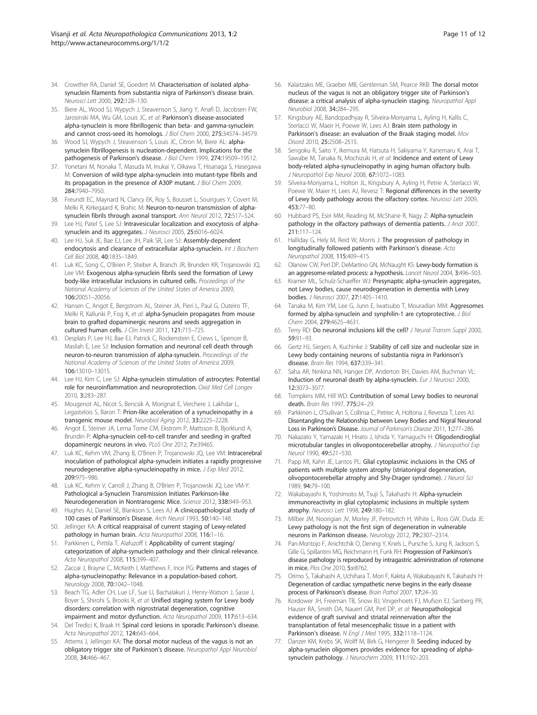- <span id="page-10-0"></span>34. Crowther RA, Daniel SE, Goedert M: Characterisation of isolated alphasynuclein filaments from substantia nigra of Parkinson's disease brain. Neurosci Lett 2000, 292:128–130.
- 35. Biere AL, Wood SJ, Wypych J, Steavenson S, Jiang Y, Anafi D, Jacobsen FW, Jarosinski MA, Wu GM, Louis JC, et al: Parkinson's disease-associated alpha-synuclein is more fibrillogenic than beta- and gamma-synuclein and cannot cross-seed its homologs. J Biol Chem 2000, 275:34574–34579.
- 36. Wood SJ, Wypych J, Steavenson S, Louis JC, Citron M, Biere AL: alphasynuclein fibrillogenesis is nucleation-dependent. Implications for the pathogenesis of Parkinson's disease. J Biol Chem 1999, 274:19509–19512.
- 37. Yonetani M, Nonaka T, Masuda M, Inukai Y, Oikawa T, Hisanaga S, Hasegawa M: Conversion of wild-type alpha-synuclein into mutant-type fibrils and its propagation in the presence of A30P mutant. J Biol Chem 2009, 284:7940–7950.
- 38. Freundt EC, Maynard N, Clancy EK, Roy S, Bousset L, Sourigues Y, Covert M, Melki R, Kirkegaard K, Brahic M: Neuron-to-neuron transmission of alphasynuclein fibrils through axonal transport. Ann Neurol 2012, 72:517–524.
- Lee HJ, Patel S, Lee SJ: Intravesicular localization and exocytosis of alphasynuclein and its aggregates. J Neurosci 2005, 25:6016-6024.
- 40. Lee HJ, Suk JE, Bae EJ, Lee JH, Paik SR, Lee SJ: Assembly-dependent endocytosis and clearance of extracellular alpha-synuclein. Int J Biochem Cell Biol 2008, 40:1835–1849.
- 41. Luk KC, Song C, O'Brien P, Stieber A, Branch JR, Brunden KR, Trojanowski JQ, Lee VM: Exogenous alpha-synuclein fibrils seed the formation of Lewy body-like intracellular inclusions in cultured cells. Proceedings of the National Academy of Sciences of the United States of America 2009, 106:20051–20056.
- 42. Hansen C, Angot E, Bergstrom AL, Steiner JA, Pieri L, Paul G, Outeiro TF, Melki R, Kallunki P, Fog K, et al: alpha-Synuclein propagates from mouse brain to grafted dopaminergic neurons and seeds aggregation in cultured human cells. J Clin Invest 2011, 121:715-725.
- 43. Desplats P, Lee HJ, Bae EJ, Patrick C, Rockenstein E, Crews L, Spencer B, Masliah E, Lee SJ: Inclusion formation and neuronal cell death through neuron-to-neuron transmission of alpha-synuclein. Proceedings of the National Academy of Sciences of the United States of America 2009, 106:13010–13015.
- 44. Lee HJ, Kim C, Lee SJ: Alpha-synuclein stimulation of astrocytes: Potential role for neuroinflammation and neuroprotection. Oxid Med Cell Longev 2010, 3:283–287.
- 45. Mougenot AL, Nicot S, Bencsik A, Morignat E, Verchere J, Lakhdar L, Legastelois S, Baron T: Prion-like acceleration of a synucleinopathy in a transgenic mouse model. Neurobiol Aging 2012, 33:2225–2228.
- 46. Angot E, Steiner JA, Lema Tome CM, Ekstrom P, Mattsson B, Bjorklund A, Brundin P: Alpha-synuclein cell-to-cell transfer and seeding in grafted dopaminergic neurons in vivo. PLoS One 2012, 7:e39465.
- 47. Luk KC, Kehm VM, Zhang B, O'Brien P, Trojanowski JQ, Lee VM: Intracerebral inoculation of pathological alpha-synuclein initiates a rapidly progressive neurodegenerative alpha-synucleinopathy in mice. J Exp Med 2012, 209:975–986.
- 48. Luk KC, Kehm V, Carroll J, Zhang B, O'Brien P, Trojanowski JQ, Lee VM-Y: Pathological a-Synuclein Transmission Initiates Parkinson-like Neurodegeneration in Nontransgenic Mice. Science 2012, 338:949–953.
- 49. Hughes AJ, Daniel SE, Blankson S, Lees AJ: A clinicopathological study of 100 cases of Parkinson's Disease. Arch Neurol 1993, 50:140–148.
- 50. Jellinger KA: A critical reappraisal of current staging of Lewy-related pathology in human brain. Acta Neuropathol 2008, 116:1-16.
- 51. Parkkinen L, Pirttila T, Alafuzoff I: Applicability of current staging/ categorization of alpha-synuclein pathology and their clinical relevance. Acta Neuropathol 2008, 115:399–407.
- 52. Zaccai J, Brayne C, McKeith I, Matthews F, Ince PG: Patterns and stages of alpha-synucleinopathy: Relevance in a population-based cohort. Neurology 2008, 70:1042–1048.
- 53. Beach TG, Adler CH, Lue LF, Sue LI, Bachalakuri J, Henry-Watson J, Sasse J, Boyer S, Shirohi S, Brooks R, et al: Unified staging system for Lewy body disorders: correlation with nigrostriatal degeneration, cognitive impairment and motor dysfunction. Acta Neuropathol 2009, 117:613–634.
- 54. Del Tredici K, Braak H: Spinal cord lesions in sporadic Parkinson's disease. Acta Neuropathol 2012, 124:643–664.
- 55. Attems J, Jellinger KA: The dorsal motor nucleus of the vagus is not an obligatory trigger site of Parkinson's disease. Neuropathol Appl Neurobiol 2008, 34:466–467.
- 56. Kalaitzakis ME, Graeber MB, Gentleman SM, Pearce RKB: The dorsal motor nucleus of the vagus is not an obligatory trigger site of Parkinson's disease: a critical analysis of alpha-synuclein staging. Neuropathol Appl Neurobiol 2008, 34:284–295.
- 57. Kingsbury AE, Bandopadhyay R, Silveira-Moriyama L, Ayling H, Kallis C, Sterlacci W, Maeir H, Poewe W, Lees AJ: Brain stem pathology in Parkinson's disease: an evaluation of the Braak staging model. Mov Disord 2010, 25:2508–2515.
- 58. Sengoku R, Saito Y, Ikemura M, Hatsuta H, Sakiyama Y, Kanemaru K, Arai T, Sawabe M, Tanaka N, Mochizuki H, et al: Incidence and extent of Lewy body-related alpha-synucleinopathy in aging human olfactory bulb. J Neuropathol Exp Neurol 2008, 67:1072–1083.
- 59. Silveira-Moriyama L, Holton JL, Kingsbury A, Ayling H, Petrie A, Sterlacci W, Poewe W, Maier H, Lees AJ, Revesz T: Regional differences in the severity of Lewy body pathology across the olfactory cortex. Neurosci Lett 2009, 453:77–80.
- 60. Hubbard PS, Esiri MM, Reading M, McShane R, Nagy Z: Alpha-synuclein pathology in the olfactory pathways of dementia patients. J Anat 2007, 211:117–124.
- 61. Halliday G, Hely M, Reid W, Morris J: The progression of pathology in longitudinally followed patients with Parkinson's disease. Acta Neuropathol 2008, 115:409-415.
- 62. Olanow CW, Perl DP, DeMartino GN, McNaught KS: Lewy-body formation is an aggresome-related process: a hypothesis. Lancet Neurol 2004, 3:496-503.
- 63. Kramer ML, Schulz-Schaeffer WJ: Presynaptic alpha-synuclein aggregates, not Lewy bodies, cause neurodegeneration in dementia with Lewy bodies. J Neurosci 2007, 27:1405–1410.
- 64. Tanaka M, Kim YM, Lee G, Junn E, Iwatsubo T, Mouradian MM: Aggresomes formed by alpha-synuclein and synphilin-1 are cytoprotective. J Biol Chem 2004, 279:4625–4631.
- 65. Terry RD: Do neuronal inclusions kill the cell? J Neural Transm Suppl 2000, 59:91–93.
- 66. Gertz HJ, Siegers A, Kuchinke J: Stability of cell size and nucleolar size in Lewy body containing neurons of substantia nigra in Parkinson's disease. Brain Res 1994, 637:339–341.
- 67. Saha AR, Ninkina NN, Hanger DP, Anderton BH, Davies AM, Buchman VL: Induction of neuronal death by alpha-synuclein. Eur J Neurosci 2000, 12:3073–3077.
- 68. Tompkins MM, Hill WD: Contribution of somal Lewy bodies to neuronal death. Brain Res 1997, 775:24–29.
- 69. Parkkinen L, O'Sullivan S, Collinsa C, Petriec A, Holtona J, Revesza T, Lees AJ: Disentangling the Relationship between Lewy Bodies and Nigral Neuronal Loss in Parkinson's Disease. Journal of Parkinson's Disease 2011, 1:277–286.
- 70. Nakazato Y, Yamazaki H, Hirato J, Ishida Y, Yamaguchi H: Oligodendroglial microtubular tangles in olivopontocerebellar atrophy. J Neuropathol Exp Neurol 1990, 49:521–530.
- 71. Papp MI, Kahn JE, Lantos PL: Glial cytoplasmic inclusions in the CNS of patients with multiple system atrophy (striatonigral degeneration, olivopontocerebellar atrophy and Shy-Drager syndrome). J Neurol Sci 1989, 94:79–100.
- 72. Wakabayashi K, Yoshimoto M, Tsuji S, Takahashi H: Alpha-synuclein immunoreactivity in glial cytoplasmic inclusions in multiple system atrophy. Neurosci Lett 1998, 249:180–182.
- 73. Milber JM, Noorigian JV, Morley JF, Petrovitch H, White L, Ross GW, Duda JE: Lewy pathology is not the first sign of degeneration in vulnerable neurons in Parkinson disease. Neurology 2012, 79:2307–2314.
- 74. Pan-Montojo F, Anichtchik O, Dening Y, Knels L, Pursche S, Jung R, Jackson S, Gille G, Spillantini MG, Reichmann H, Funk RH: Progression of Parkinson's disease pathology is reproduced by intragastric administration of rotenone in mice. Plos One 2010, 5:e8762.
- 75. Orimo S, Takahashi A, Uchihara T, Mori F, Kakita A, Wakabayashi K, Takahashi H: Degeneration of cardiac sympathetic nerve begins in the early disease process of Parkinson's disease. Brain Pathol 2007, 17:24–30.
- 76. Kordower JH, Freeman TB, Snow BJ, Vingerhoets FJ, Mufson EJ, Sanberg PR, Hauser RA, Smith DA, Nauert GM, Perl DP, et al: Neuropathological evidence of graft survival and striatal reinnervation after the transplantation of fetal mesencephalic tissue in a patient with Parkinson's disease. N Engl J Med 1995, 332:1118–1124.
- 77. Danzer KM, Krebs SK, Wolff M, Birk G, Hengerer B: Seeding induced by alpha-synuclein oligomers provides evidence for spreading of alphasynuclein pathology. J Neurochem 2009, 111:192-203.